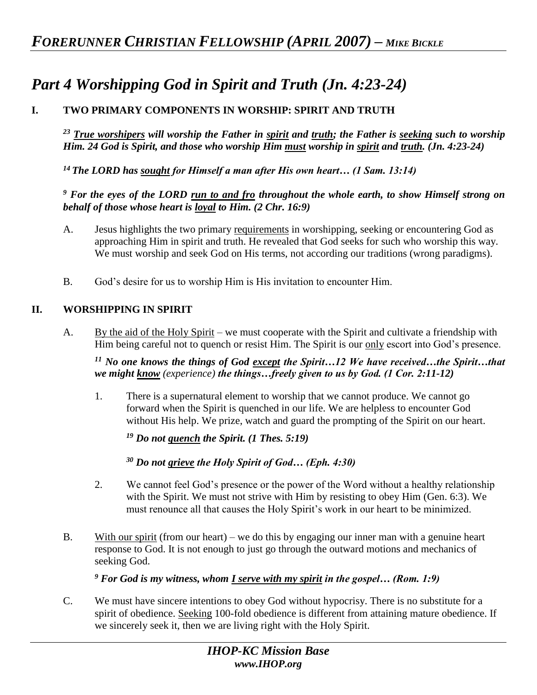# *Part 4 Worshipping God in Spirit and Truth (Jn. 4:23-24)*

## **I. TWO PRIMARY COMPONENTS IN WORSHIP: SPIRIT AND TRUTH**

*<sup>23</sup> True worshipers will worship the Father in spirit and truth; the Father is seeking such to worship Him. 24 God is Spirit, and those who worship Him must worship in spirit and truth. (Jn. 4:23-24)* 

*<sup>14</sup>The LORD has sought for Himself a man after His own heart… (1 Sam. 13:14)* 

### *<sup>9</sup> For the eyes of the LORD run to and fro throughout the whole earth, to show Himself strong on behalf of those whose heart is loyal to Him. (2 Chr. 16:9)*

- A. Jesus highlights the two primary requirements in worshipping, seeking or encountering God as approaching Him in spirit and truth. He revealed that God seeks for such who worship this way. We must worship and seek God on His terms, not according our traditions (wrong paradigms).
- B. God's desire for us to worship Him is His invitation to encounter Him.

### **II. WORSHIPPING IN SPIRIT**

A. By the aid of the Holy Spirit – we must cooperate with the Spirit and cultivate a friendship with Him being careful not to quench or resist Him. The Spirit is our only escort into God's presence.

*<sup>11</sup> No one knows the things of God except the Spirit…12 We have received…the Spirit…that we might know (experience) the things…freely given to us by God. (1 Cor. 2:11-12)* 

1. There is a supernatural element to worship that we cannot produce. We cannot go forward when the Spirit is quenched in our life. We are helpless to encounter God without His help. We prize, watch and guard the prompting of the Spirit on our heart.

*<sup>19</sup> Do not quench the Spirit. (1 Thes. 5:19)* 

*<sup>30</sup> Do not grieve the Holy Spirit of God… (Eph. 4:30)*

- 2. We cannot feel God's presence or the power of the Word without a healthy relationship with the Spirit. We must not strive with Him by resisting to obey Him (Gen. 6:3). We must renounce all that causes the Holy Spirit's work in our heart to be minimized.
- B. With our spirit (from our heart) we do this by engaging our inner man with a genuine heart response to God. It is not enough to just go through the outward motions and mechanics of seeking God.

*<sup>9</sup> For God is my witness, whom I serve with my spirit in the gospel… (Rom. 1:9)* 

C. We must have sincere intentions to obey God without hypocrisy. There is no substitute for a spirit of obedience. Seeking 100-fold obedience is different from attaining mature obedience. If we sincerely seek it, then we are living right with the Holy Spirit.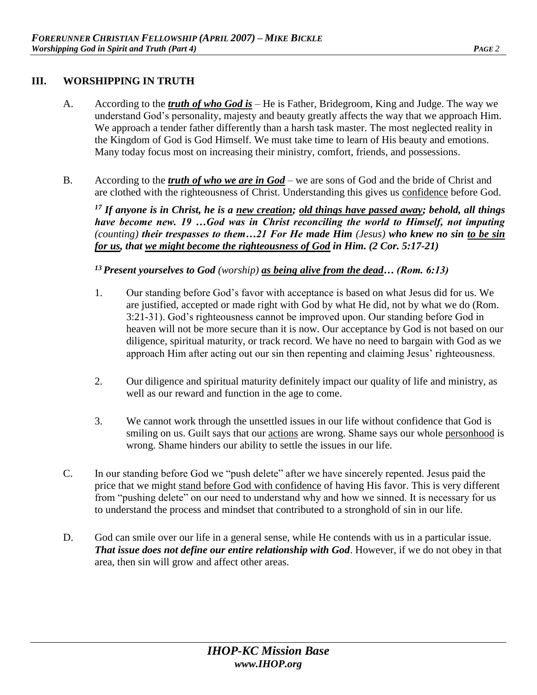### **III. WORSHIPPING IN TRUTH**

- A. According to the *truth of who God is* He is Father, Bridegroom, King and Judge. The way we understand God's personality, majesty and beauty greatly affects the way that we approach Him. We approach a tender father differently than a harsh task master. The most neglected reality in the Kingdom of God is God Himself. We must take time to learn of His beauty and emotions. Many today focus most on increasing their ministry, comfort, friends, and possessions.
- B. According to the *truth of who we are in God* we are sons of God and the bride of Christ and are clothed with the righteousness of Christ. Understanding this gives us confidence before God.

*<sup>17</sup> If anyone is in Christ, he is a new creation; old things have passed away; behold, all things have become new. 19 …God was in Christ reconciling the world to Himself, not imputing (counting) their trespasses to them…21 For He made Him (Jesus) who knew no sin to be sin for us, that we might become the righteousness of God in Him. (2 Cor. 5:17-21)* 

### *<sup>13</sup>Present yourselves to God (worship) as being alive from the dead… (Rom. 6:13)*

- 1. Our standing before God's favor with acceptance is based on what Jesus did for us. We are justified, accepted or made right with God by what He did, not by what we do (Rom. 3:21-31). God's righteousness cannot be improved upon. Our standing before God in heaven will not be more secure than it is now. Our acceptance by God is not based on our diligence, spiritual maturity, or track record. We have no need to bargain with God as we approach Him after acting out our sin then repenting and claiming Jesus' righteousness.
- 2. Our diligence and spiritual maturity definitely impact our quality of life and ministry, as well as our reward and function in the age to come.
- 3. We cannot work through the unsettled issues in our life without confidence that God is smiling on us. Guilt says that our **actions** are wrong. Shame says our whole personhood is wrong. Shame hinders our ability to settle the issues in our life.
- C. In our standing before God we "push delete" after we have sincerely repented. Jesus paid the price that we might stand before God with confidence of having His favor. This is very different from "pushing delete" on our need to understand why and how we sinned. It is necessary for us to understand the process and mindset that contributed to a stronghold of sin in our life.
- D. God can smile over our life in a general sense, while He contends with us in a particular issue. *That issue does not define our entire relationship with God*. However, if we do not obey in that area, then sin will grow and affect other areas.